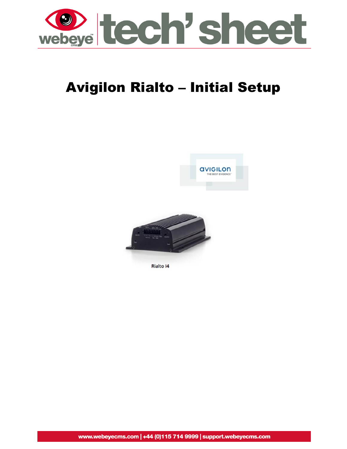

# Avigilon Rialto – Initial Setup





www.webeyecms.com | +44 (0)115 714 9999 | support.webeyecms.com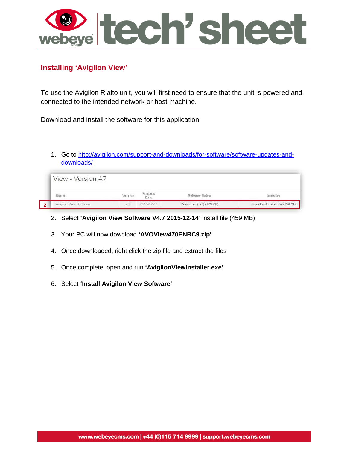

#### **Installing 'Avigilon View'**

To use the Avigilon Rialto unit, you will first need to ensure that the unit is powered and connected to the intended network or host machine.

Download and install the software for this application.

1. Go to [http://avigilon.com/support-and-downloads/for-software/software-updates-and](http://avigilon.com/support-and-downloads/for-software/software-updates-and-downloads/)[downloads/](http://avigilon.com/support-and-downloads/for-software/software-updates-and-downloads/)

|      | View - Version 4.7     |         |                 |                         |                                |
|------|------------------------|---------|-----------------|-------------------------|--------------------------------|
| Name |                        | Version | Release<br>Date | Release Notes           | Installer                      |
|      | Avigilon View Software | 4.7     | 2015-12-14      | Download (pdf) (179 KB) | Download install file (459 MB) |

- 2. Select **'Avigilon View Software V4.7 2015-12-14'** install file (459 MB)
- 3. Your PC will now download **'AVOView470ENRC9.zip'**
- 4. Once downloaded, right click the zip file and extract the files
- 5. Once complete, open and run **'AvigilonViewInstaller.exe'**
- 6. Select **'Install Avigilon View Software'**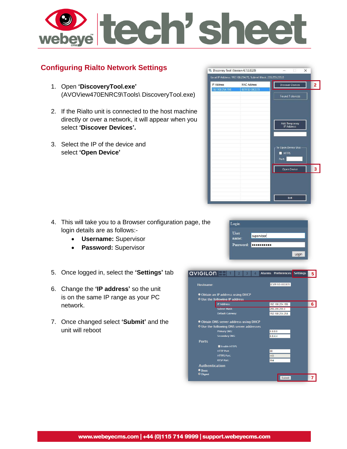# webeye tech's hee

% Discovery Tool (Version 4.7.0.8320)

IP Address

92 168 2

**avigiton HIT** 

· Obtain an IP address using DHCP **O Use the following IP address** 

> **IP Address: Jubnet Mask**

Default Gateway:

Hostname:

Local IP Address: 192.168.254.78, Subnet Mask: 255.255.255.0 MAC Address

001F92-00

### **Configuring Rialto Network Settings**

- 1. Open **'DiscoveryTool.exe'** (AVOView470ENRC9\Tools\ DiscoveryTool.exe)
- 2. If the Rialto unit is connected to the host machine directly or over a network, it will appear when you select **'Discover Devices'.**
- 3. Select the IP of the device and select **'Open Device'**

- 4. This will take you to a Browser configuration page, the login details are as follows:-
	- **Username:** Supervisor
	- **Password:** Supervisor
- 5. Once logged in, select the **'Settings'** tab
- 6. Change the **'IP address'** so the unit is on the same IP range as your PC network.
- 7. Once changed select **'Submit'** and the unit will reboot





**2**

 $\overline{\mathsf{x}}$ 

**Discover Devices** 

Add Temporary<br>IP Address

To Open Device Use: **HTTPS** 

Open Device

Exit

Alarms Preferences Settings

**ICVR-VS-00C070** 

192.168.254.156

192.168.254.254

255 255 255 0

**3**

**5**

**6**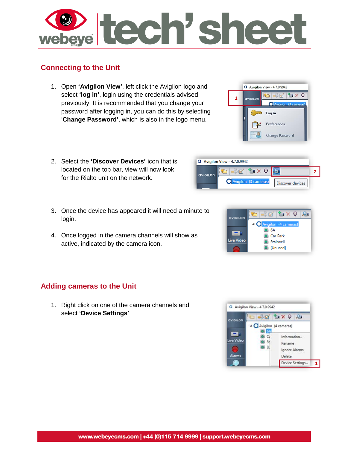## **Connecting to the Unit**

beve

- 1. Open **'Avigilon View'**, left click the Avigilon logo and select **'log in'**, login using the credentials advised previously. It is recommended that you change your password after logging in, you can do this by selecting '**Change Password'**, which is also in the logo menu.
- 2. Select the **'Discover Devices'** icon that is located on the top bar, view will now look for the Rialto unit on the network.
- 3. Once the device has appeared it will need a minute to login.
- 4. Once logged in the camera channels will show as active, indicated by the camera icon.

#### **Adding cameras to the Unit**

1. Right click on one of the camera channels and select **'Device Settings'**



Avigilon (3 cameras)

◠ Log in



Discover devices



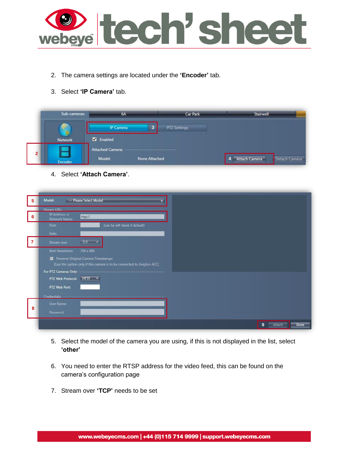

- 2. The camera settings are located under the **'Encoder'** tab.
- 3. Select **'IP Camera'** tab.

|                | Sub-cameras:   | <b>6A</b>                         |               | Car Park            | Stainwell                        |
|----------------|----------------|-----------------------------------|---------------|---------------------|----------------------------------|
|                |                | <b>IP Camera</b>                  | 3             | <b>PTZ Settings</b> |                                  |
|                | <b>Network</b> | M Enabled                         |               |                     |                                  |
| 2 <sup>1</sup> | <b>Encoder</b> | <b>Attached Camera:</b><br>Model: | None Attached |                     | 4 Attach Camera<br>Detach Camera |

4. Select **'Attach Camera'**.

| 5              | Model:                         | --- Please Select Model                                                  |  |
|----------------|--------------------------------|--------------------------------------------------------------------------|--|
|                | Stream URL:                    |                                                                          |  |
| 6              | IP Address or<br>Network Name: | rtsp://                                                                  |  |
|                | Port                           | (can be left blank if default)                                           |  |
|                | Path:                          |                                                                          |  |
| $\overline{7}$ | Stream over                    | <b>TCP</b>                                                               |  |
|                | <b>Best Resolution:</b>        | 704 x 480                                                                |  |
|                |                                | Preserve Original Camera Timestamps                                      |  |
|                |                                | (Use this option only if this camera is to be connected to Avigilon ACC) |  |
|                | For PTZ Cameras Only:          |                                                                          |  |
|                | PTZ Web Protocol: HTTP         |                                                                          |  |
|                | PTZ Web Port:                  |                                                                          |  |
|                | Credentials:                   |                                                                          |  |
|                | User Name:                     |                                                                          |  |
| 8              | Password:                      |                                                                          |  |
|                |                                |                                                                          |  |
|                |                                |                                                                          |  |

- 5. Select the model of the camera you are using, if this is not displayed in the list, select **'other'**
- 6. You need to enter the RTSP address for the video feed, this can be found on the camera's configuration page
- 7. Stream over **'TCP'** needs to be set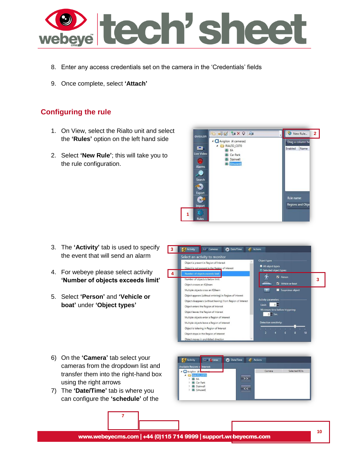

- 8. Enter any access credentials set on the camera in the 'Credentials' fields
- 9. Once complete, select **'Attach'**

#### **Configuring the rule**

- 1. On View, select the Rialto unit and select the **'Rules'** option on the left hand side
- 2. Select **'New Rule'**; this will take you to the rule configuration.



- 3. The **'Activity'** tab is used to specify the event that will send an alarm
- 4. For webeye please select activity **'Number of objects exceeds limit'**
- 5. Select **'Person'** and **'Vehicle or boat'** under **'Object types'**



- 6) On the **'Camera'** tab select your cameras from the dropdown list and transfer them into the right-hand box using the right arrows
- 7) The **'Date/Time'** tab is where you can configure the **'schedule'** of the

**7**

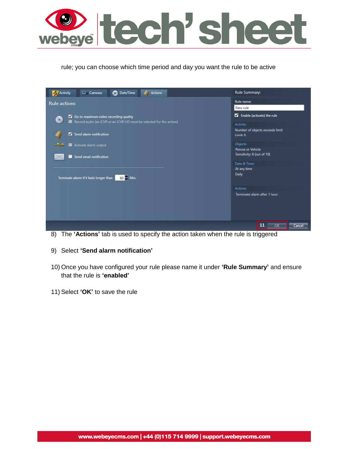

rule; you can choose which time period and day you want the rule to be active

| <b>Activity</b><br>Cameras<br>Date/Time<br><b>Actions</b>                          | Rule Summary:                   |
|------------------------------------------------------------------------------------|---------------------------------|
| Rule actions                                                                       | Rule name:                      |
|                                                                                    | New rule                        |
| Go to maximum video recording quality                                              | Enable (activate) the rule      |
| $\bullet$<br>Record audio (an iCVR or an iCVR-HD must be selected for this action) | Activity.                       |
|                                                                                    | Number of objects exceeds limit |
| Send alarm notification                                                            | Limit: 0.                       |
| Activate alarm output                                                              | <b>Objects:</b>                 |
|                                                                                    | Person or Vehicle               |
| Send email notification                                                            | Sensitivity: 8 (out of 10)      |
|                                                                                    | Date & Time:                    |
|                                                                                    | At any time                     |
| Terminate alarm if it lasts longer than<br>$60 -$ Min.                             | Daily                           |
|                                                                                    |                                 |
|                                                                                    | <b>Actions:</b>                 |
|                                                                                    | Terminate alarm after 1 hour    |
|                                                                                    |                                 |
|                                                                                    |                                 |
|                                                                                    |                                 |
|                                                                                    | 11<br>OK<br>Cancel              |

8) The **'Actions'** tab is used to specify the action taken when the rule is triggered

- 9) Select **'Send alarm notification'**
- 10) Once you have configured your rule please name it under **'Rule Summary'** and ensure that the rule is **'enabled'**
- 11) Select **'OK'** to save the rule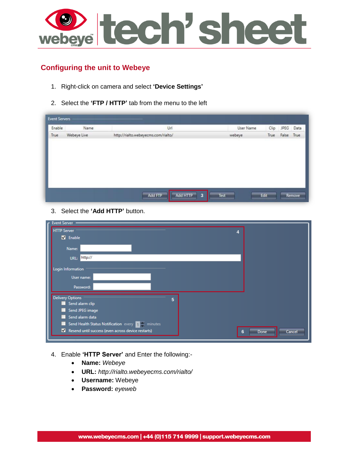

#### **Configuring the unit to Webeye**

- 1. Right-click on camera and select **'Device Settings'**
- 2. Select the **'FTP / HTTP'** tab from the menu to the left

| Enable | Name        | Url                                 | User Name | Clip | JPEG            | Data |
|--------|-------------|-------------------------------------|-----------|------|-----------------|------|
| True   | Webeye Live | http://rialto.webeyecms.com/rialto/ | webeye    |      | True False True |      |
|        |             |                                     |           |      |                 |      |
|        |             |                                     |           |      |                 |      |
|        |             |                                     |           |      |                 |      |
|        |             |                                     |           |      |                 |      |
|        |             |                                     |           |      |                 |      |
|        |             |                                     |           |      |                 |      |
|        |             |                                     |           |      |                 |      |
|        |             |                                     |           |      |                 |      |

3. Select the **'Add HTTP'** button.

| <b>HTTP Server</b>                                               |   | 4 |                     |
|------------------------------------------------------------------|---|---|---------------------|
| V Enable                                                         |   |   |                     |
| Name:                                                            |   |   |                     |
| URL: http://                                                     |   |   |                     |
| Login Information                                                |   |   |                     |
| User name:                                                       |   |   |                     |
| Password:                                                        |   |   |                     |
| <b>Delivery Options</b>                                          | 5 |   |                     |
| Send alarm clip                                                  |   |   |                     |
| Send JPEG image<br>. .                                           |   |   |                     |
| Send alarm data<br>. .                                           |   |   |                     |
| Send Health Status Notification every $\boxed{1}$ minutes<br>. . |   |   |                     |
| Resend until success (even across device restarts)               |   |   | 6<br>Done<br>Cancel |

- 4. Enable **'HTTP Server'** and Enter the following:-
	- **Name:** *Webeye*
	- **URL:** *http://rialto.webeyecms.com/rialto/*
	- **Username:** Webeye
	- **Password:** *eyeweb*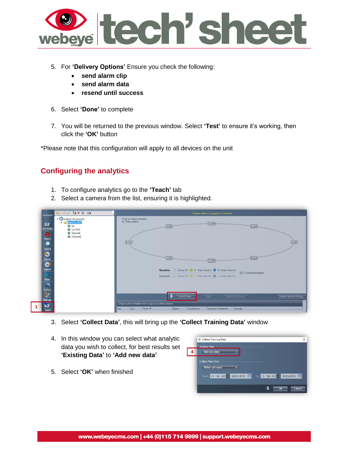

- 5. For **'Delivery Options'** Ensure you check the following:
	- **send alarm clip**
	- **send alarm data**
	- **resend until success**
- 6. Select **'Done'** to complete
- 7. You will be returned to the previous window. Select **'Test'** to ensure it's working, then click the **'OK'** button

\*Please note that this configuration will apply to all devices on the unit

#### **Configuring the analytics**

- 1. To configure analytics go to the **'Teach'** tab
- 2. Select a camera from the list, ensuring it is highlighted.

| <b>DIE TXQ RI</b><br><b>avigiton</b>                                                                                                                                                                                                                                             | Please select a logged-in camera                                                                                                                                                                                                                                                                                                                                                         |
|----------------------------------------------------------------------------------------------------------------------------------------------------------------------------------------------------------------------------------------------------------------------------------|------------------------------------------------------------------------------------------------------------------------------------------------------------------------------------------------------------------------------------------------------------------------------------------------------------------------------------------------------------------------------------------|
| 4 Avigilon (4 cameras)<br>A C RIALTO_CO70<br>e<br>0.6A<br>Live Video<br>Car Park<br><b>O</b> Stairwell<br>$\bullet$<br><b>O</b> [Unused]<br><b>Alarms</b><br>$\bullet$<br>Search<br>$\bullet$<br>Export<br>$\bullet$<br>Import<br>X93<br><b>Rules</b><br>g,<br>Archive<br>$\ast$ | Click an Alarm Bubble<br>to Filter Alarms<br>$[12 \text{ AM}]$<br>9PM<br>3AM<br>6 PM<br>6 AM<br>3PM<br>9 AM<br>12 PM<br><b>Baseline</b> Show All <b>0</b> 0 True Alarms <b>0</b> 0 False Alarms<br>0 Unacknowledged<br>Learned  Show All <b>C</b> - True Alarms <b>C</b> - False Alarms<br>Collect Data<br>$\overline{\mathbf{3}}$<br>Review Update History<br>Upload to Camera<br>Learn |
| Manage<br>e<br>Teach                                                                                                                                                                                                                                                             | Drag a column header here to group by that column.<br>Ack<br>Time <b>v</b><br>Confidence<br>Activity<br>Object<br>Learned Confidence<br>Use                                                                                                                                                                                                                                              |

- 3. Select **'Collect Data'**, this will bring up the **'Collect Training Data'** window
- 4. In this window you can select what analytic data you wish to collect, for best results set **'Existing Data'** to **'Add new data'**
- Collect Training Data  $\mathbf{x}$ Add new data **4** Collect New Data Within last week 11:58 AM 29/01/2016 To: 11:58 AM 3 05/02/2016 Cancel **5**

5. Select **'OK'** when finished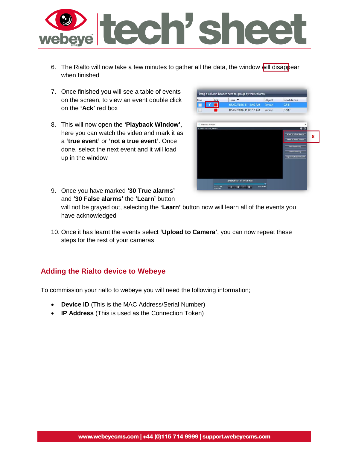

- 6. The Rialto will now take a few minutes to gather all the data, the window will disappear when finished
- 7. Once finished you will see a table of events on the screen, to view an event double click on the **'Ack'** red box
- 8. This will now open the **'Playback Window'**, here you can watch the video and mark it as a **'true event'** or **'not a true event'**. Once done, select the next event and it will load up in the window



- 9. Once you have marked **'30 True alarms'** and **'30 False alarms'** the **'Learn'** button will not be grayed out, selecting the **'Learn'** button now will learn all of the events you have acknowledged
- 10. Once it has learnt the events select **'Upload to Camera'**, you can now repeat these steps for the rest of your cameras

#### **Adding the Rialto device to Webeye**

To commission your rialto to webeye you will need the following information;

- **Device ID** (This is the MAC Address/Serial Number)
- **IP Address** (This is used as the Connection Token)